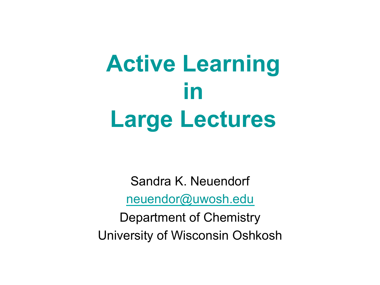## **Active Learning in Large Lectures**

Sandra K. Neuendorf neuendor@uwosh.edu Department of Chemistry University of Wisconsin Oshkosh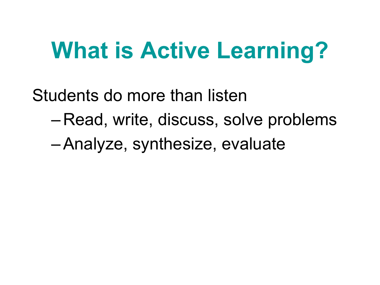#### **What is Active Learning?**

Students do more than listen

- Read, write, discuss, solve problems
- –Analyze, synthesize, evaluate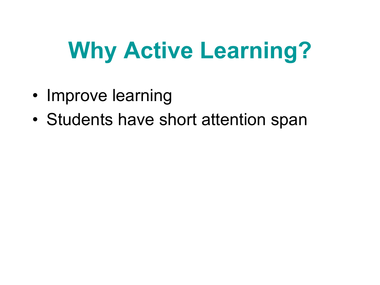- Improve learning
- Students have short attention span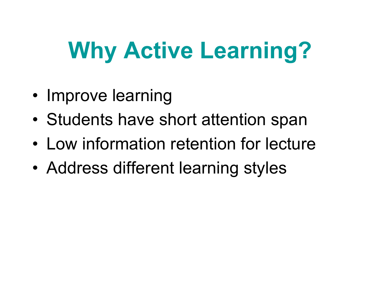- Improve learning
- Students have short attention span
- Low information retention for lecture
- Address different learning styles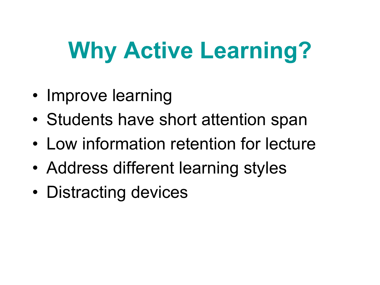- Improve learning
- Students have short attention span
- Low information retention for lecture
- Address different learning styles
- Distracting devices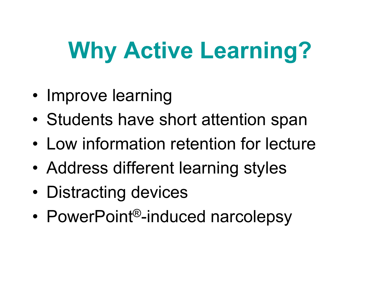- Improve learning
- Students have short attention span
- Low information retention for lecture
- Address different learning styles
- Distracting devices
- PowerPoint<sup>®</sup>-induced narcolepsy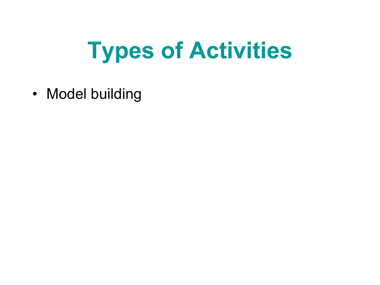• Model building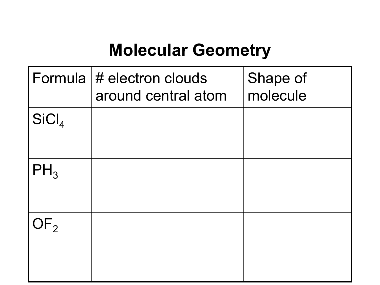#### **Molecular Geometry**

| Formula           | $\#$ electron clouds<br>around central atom | Shape of<br>molecule |
|-------------------|---------------------------------------------|----------------------|
| SiCl <sub>4</sub> |                                             |                      |
| $H_3$             |                                             |                      |
| $\mathsf{F}_2$    |                                             |                      |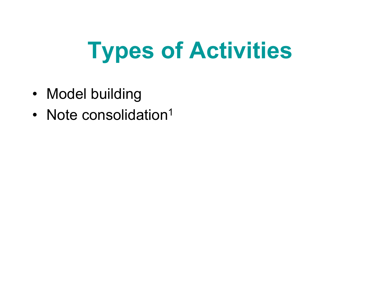- Model building
- Note consolidation<sup>1</sup>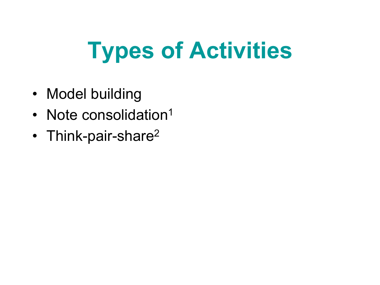- Model building
- Note consolidation<sup>1</sup>
- Think-pair-share<sup>2</sup>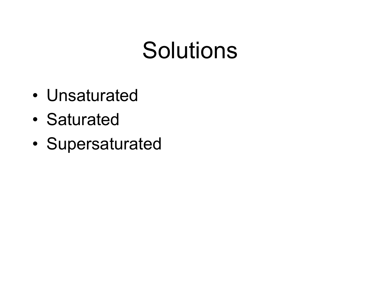#### **Solutions**

- Unsaturated
- Saturated
- Supersaturated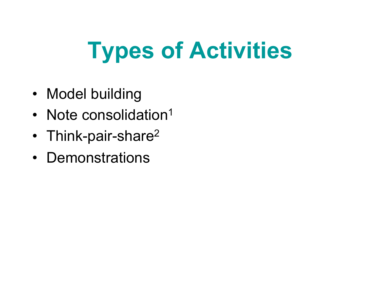- Model building
- Note consolidation<sup>1</sup>
- Think-pair-share<sup>2</sup>
- Demonstrations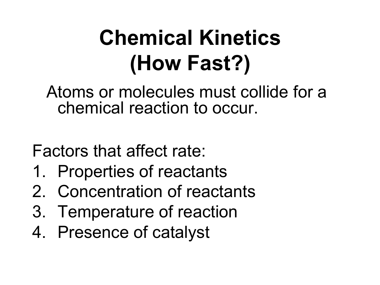#### **Chemical Kinetics (How Fast?)**

 Atoms or molecules must collide for a chemical reaction to occur.

Factors that affect rate:

- 1. Properties of reactants
- 2. Concentration of reactants
- 3. Temperature of reaction
- 4. Presence of catalyst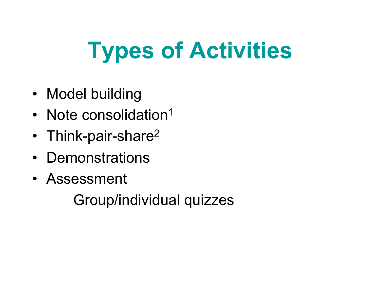- Model building
- Note consolidation<sup>1</sup>
- Think-pair-share<sup>2</sup>
- Demonstrations
- Assessment

Group/individual quizzes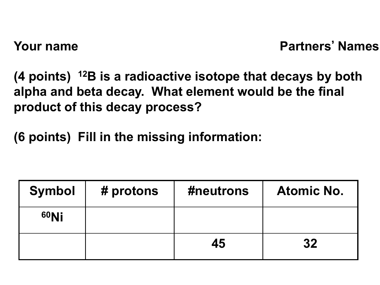**(4 points) 12B is a radioactive isotope that decays by both alpha and beta decay. What element would be the final product of this decay process?**

**(6 points) Fill in the missing information:**

| <b>Symbol</b>    | # protons | #neutrons | <b>Atomic No.</b> |
|------------------|-----------|-----------|-------------------|
| 60N <sub>i</sub> |           |           |                   |
|                  |           | 45        | 32                |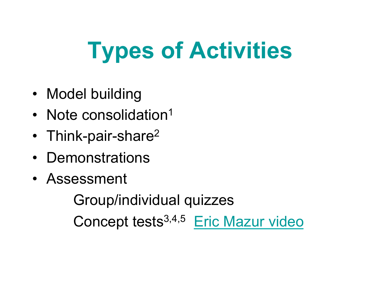- Model building
- Note consolidation<sup>1</sup>
- Think-pair-share<sup>2</sup>
- Demonstrations
- Assessment

 Group/individual quizzes Concept tests3,4,5 Eric Mazur video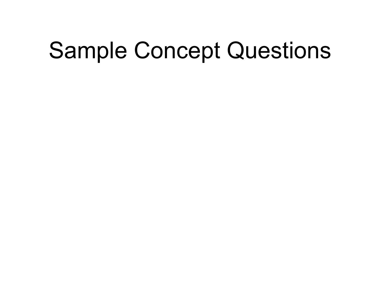#### Sample Concept Questions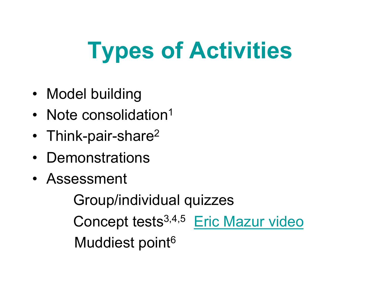- Model building
- Note consolidation<sup>1</sup>
- Think-pair-share<sup>2</sup>
- Demonstrations
- Assessment

 Group/individual quizzes Concept tests3,4,5 Eric Mazur video Muddiest point<sup>6</sup>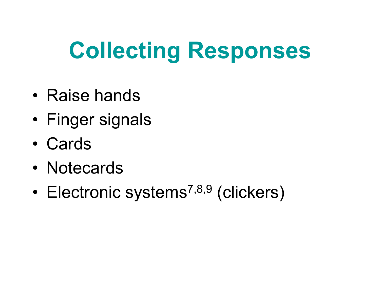#### **Collecting Responses**

- Raise hands
- Finger signals
- Cards
- Notecards
- Electronic systems<sup>7,8,9</sup> (clickers)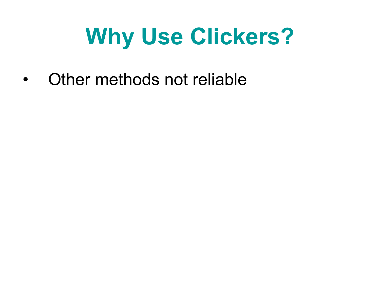• Other methods not reliable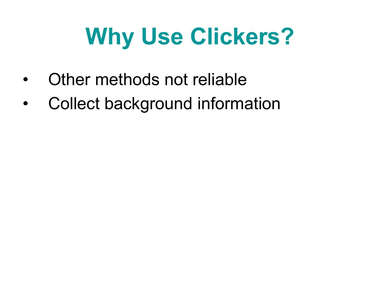- Other methods not reliable
- Collect background information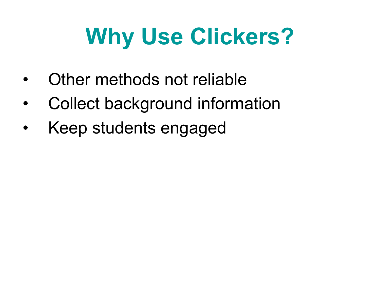- Other methods not reliable
- Collect background information
- Keep students engaged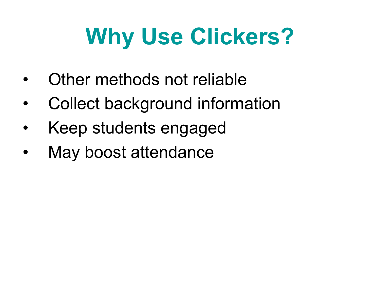- Other methods not reliable
- Collect background information
- Keep students engaged
- May boost attendance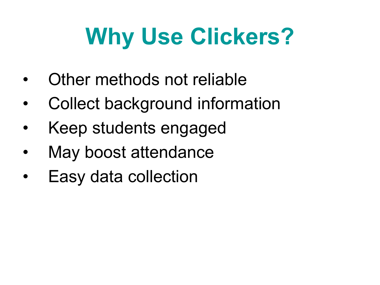- Other methods not reliable
- Collect background information
- Keep students engaged
- May boost attendance
- Easy data collection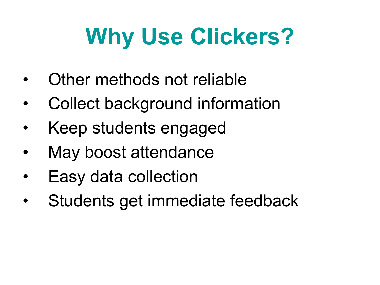- Other methods not reliable
- Collect background information
- Keep students engaged
- May boost attendance
- Easy data collection
- Students get immediate feedback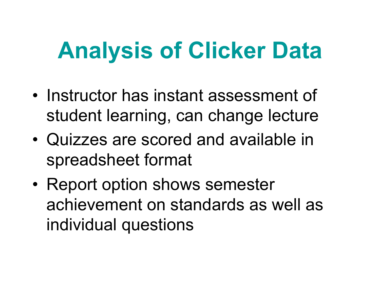#### **Analysis of Clicker Data**

- Instructor has instant assessment of student learning, can change lecture
- Quizzes are scored and available in spreadsheet format
- Report option shows semester achievement on standards as well as individual questions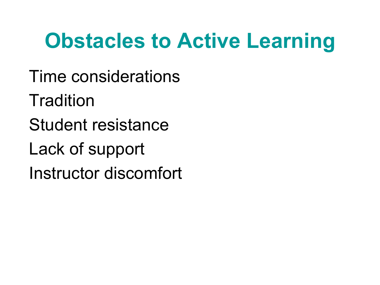#### **Obstacles to Active Learning**

Time considerations **Tradition** Student resistance Lack of support Instructor discomfort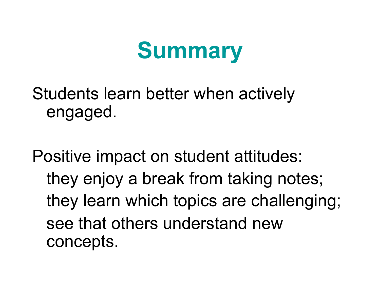#### **Summary**

Students learn better when actively engaged.

Positive impact on student attitudes: they enjoy a break from taking notes; they learn which topics are challenging; see that others understand new concepts.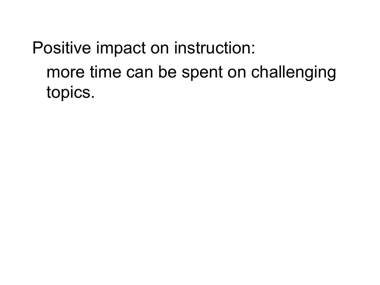Positive impact on instruction: more time can be spent on challenging topics.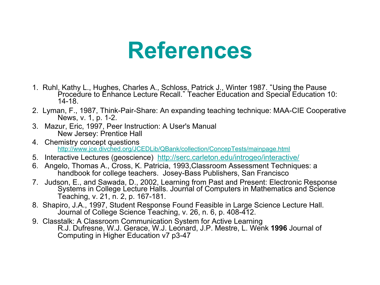#### **References**

- 1. Ruhl, Kathy L., Hughes, Charles A., Schloss, Patrick J., Winter 1987. "Using the Pause Procedure to Enhance Lecture Recall." Teacher Education and Special Education 10: 14-18.
- 2. Lyman, F., 1987, Think-Pair-Share: An expanding teaching technique: MAA-CIE Cooperative News, v. 1, p. 1-2.
- 3. Mazur, Eric, 1997, Peer Instruction: A User's Manual New Jersey: Prentice Hall
- 4. Chemistry concept questions http://www.jce.divched.org/JCEDLib/QBank/collection/ConcepTests/mainpage.html
- 5. Interactive Lectures (geoscience) http://serc.carleton.edu/introgeo/interactive/
- 6. Angelo, Thomas A., Cross, K. Patricia, 1993,Classroom Assessment Techniques: a handbook for college teachers. Josey-Bass Publishers, San Francisco
- 7. Judson, E., and Sawada, D., 2002, Learning from Past and Present: Electronic Response<br>Systems in College Lecture Halls. Journal of Computers in Mathematics and Science Teaching, v. 21, n. 2, p. 167-181.
- 8. Shapiro, J.A., 1997, Student Response Found Feasible in Large Science Lecture Hall. Journal of College Science Teaching, v. 26, n. 6, p. 408-412.
- 9. Classtalk: A Classroom Communication System for Active Learning R.J. Dufresne, W.J. Gerace, W.J. Leonard, J.P. Mestre, L. Wenk **1996** Journal of Computing in Higher Education v7 p3-47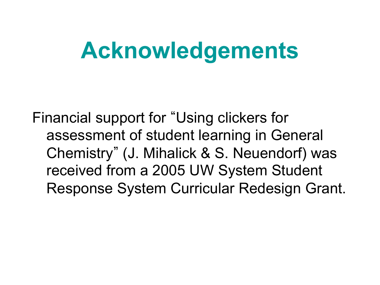#### **Acknowledgements**

Financial support for "Using clickers for assessment of student learning in General Chemistry" (J. Mihalick & S. Neuendorf) was received from a 2005 UW System Student Response System Curricular Redesign Grant.